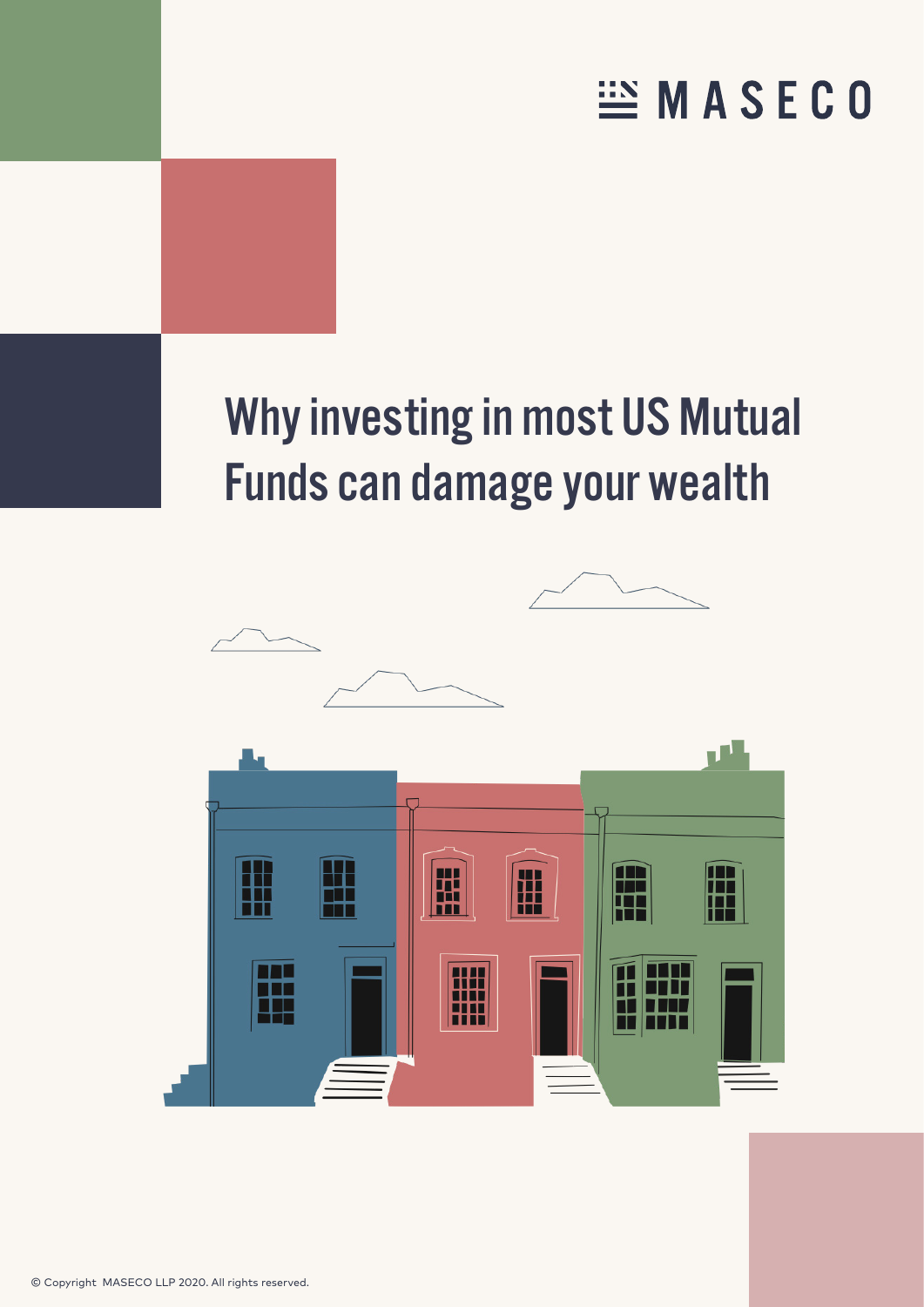# **EMASECO**

# Why investing in most US Mutual Funds can damage your wealth

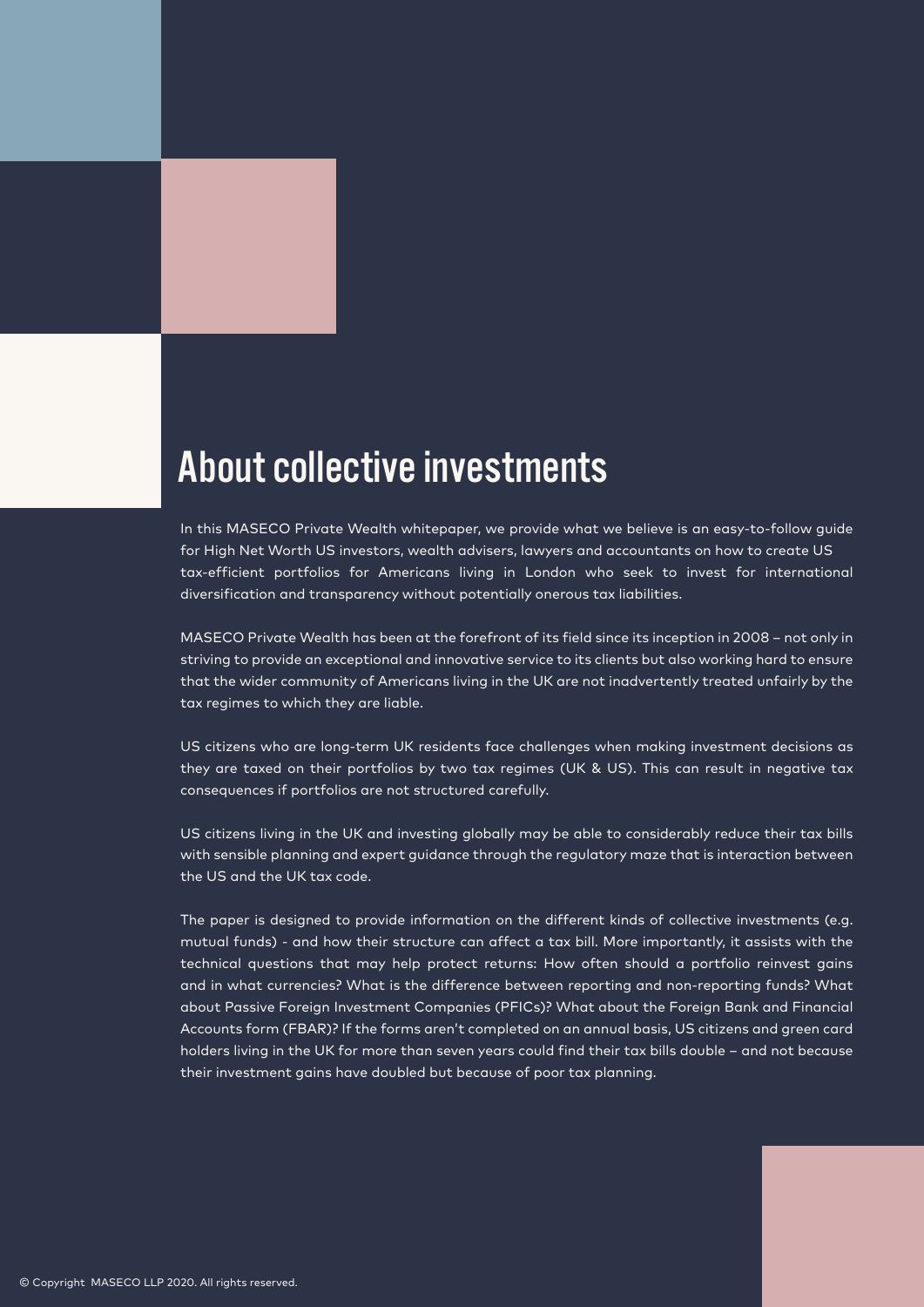# About collective investments

In this MASECO Private Wealth whitepaper, we provide what we believe is an easy-to-follow guide for High Net Worth US investors, wealth advisers, lawyers and accountants on how to create US tax-efficient portfolios for Americans living in London who seek to invest for international diversification and transparency without potentially onerous tax liabilities.

MASECO Private Wealth has been at the forefront of its field since its inception in 2008 – not only in striving to provide an exceptional and innovative service to its clients but also working hard to ensure that the wider community of Americans living in the UK are not inadvertently treated unfairly by the tax regimes to which they are liable.

US citizens who are long-term UK residents face challenges when making investment decisions as they are taxed on their portfolios by two tax regimes (UK & US). This can result in negative tax consequences if portfolios are not structured carefully.

US citizens living in the UK and investing globally may be able to considerably reduce their tax bills with sensible planning and expert guidance through the regulatory maze that is interaction between the US and the UK tax code.

The paper is designed to provide information on the different kinds of collective investments (e.g. mutual funds) - and how their structure can affect a tax bill. More importantly, it assists with the technical questions that may help protect returns: How often should a portfolio reinvest gains and in what currencies? What is the difference between reporting and non-reporting funds? What about Passive Foreign Investment Companies (PFICs)? What about the Foreign Bank and Financial Accounts form (FBAR)? If the forms aren't completed on an annual basis, US citizens and green card holders living in the UK for more than seven years could find their tax bills double – and not because their investment gains have doubled but because of poor tax planning.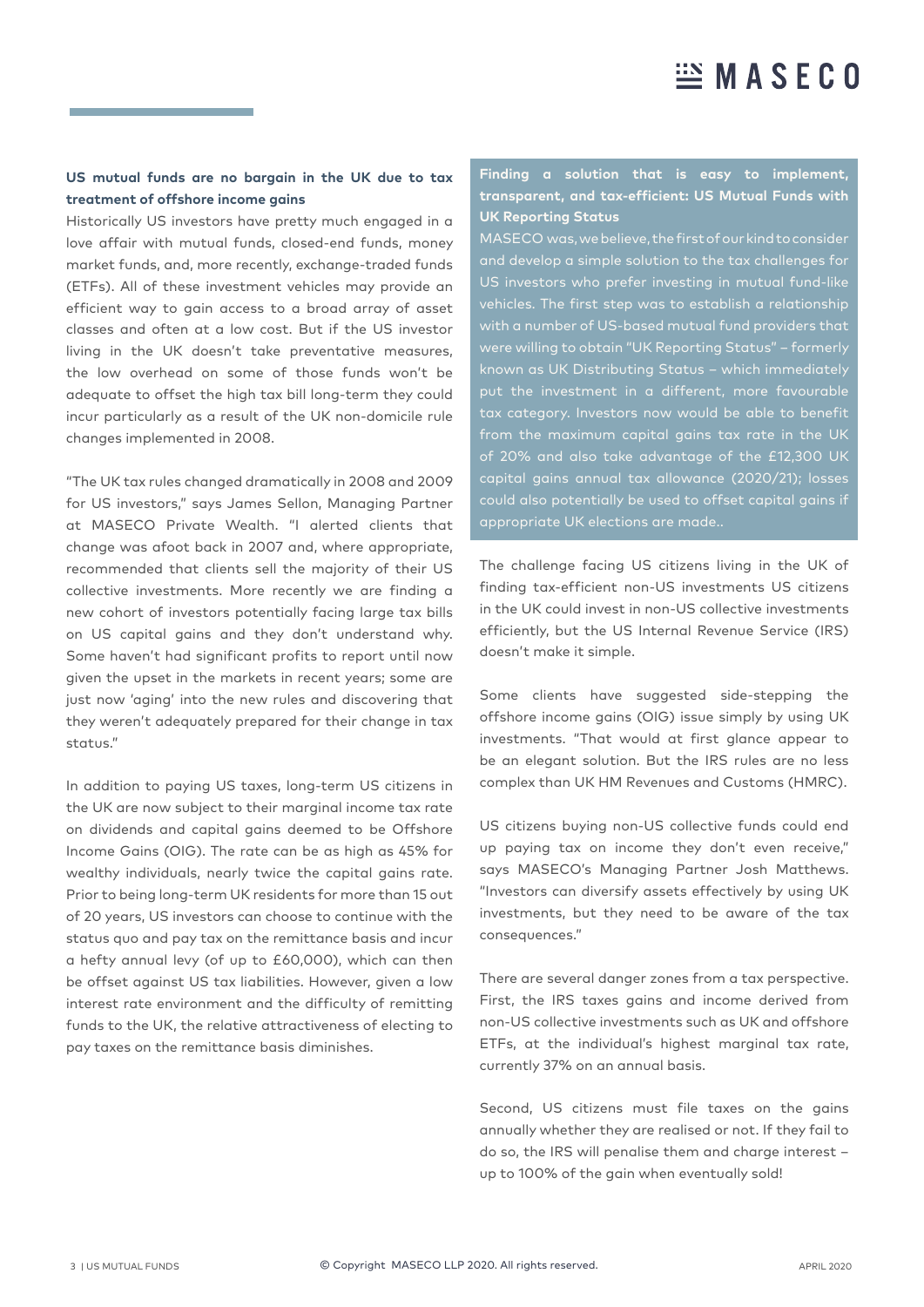#### **US mutual funds are no bargain in the UK due to tax treatment of offshore income gains**

Historically US investors have pretty much engaged in a love affair with mutual funds, closed-end funds, money market funds, and, more recently, exchange-traded funds (ETFs). All of these investment vehicles may provide an efficient way to gain access to a broad array of asset classes and often at a low cost. But if the US investor living in the UK doesn't take preventative measures, the low overhead on some of those funds won't be adequate to offset the high tax bill long-term they could incur particularly as a result of the UK non-domicile rule changes implemented in 2008.

"The UK tax rules changed dramatically in 2008 and 2009 for US investors," says James Sellon, Managing Partner at MASECO Private Wealth. "I alerted clients that change was afoot back in 2007 and, where appropriate, recommended that clients sell the majority of their US collective investments. More recently we are finding a new cohort of investors potentially facing large tax bills on US capital gains and they don't understand why. Some haven't had significant profits to report until now given the upset in the markets in recent years; some are just now 'aging' into the new rules and discovering that they weren't adequately prepared for their change in tax status."

In addition to paying US taxes, long-term US citizens in the UK are now subject to their marginal income tax rate on dividends and capital gains deemed to be Offshore Income Gains (OIG). The rate can be as high as 45% for wealthy individuals, nearly twice the capital gains rate. Prior to being long-term UK residents for more than 15 out of 20 years, US investors can choose to continue with the status quo and pay tax on the remittance basis and incur a hefty annual levy (of up to £60,000), which can then be offset against US tax liabilities. However, given a low interest rate environment and the difficulty of remitting funds to the UK, the relative attractiveness of electing to pay taxes on the remittance basis diminishes.

#### **Finding a solution that is easy to implement, transparent, and tax-efficient: US Mutual Funds with UK Reporting Status**

MASECO was, we believe, the first of our kind to consider and develop a simple solution to the tax challenges for US investors who prefer investing in mutual fund-like vehicles. The first step was to establish a relationship with a number of US-based mutual fund providers that were willing to obtain "UK Reporting Status" – formerly known as UK Distributing Status – which immediately put the investment in a different, more favourable tax category. Investors now would be able to benefit from the maximum capital gains tax rate in the UK of 20% and also take advantage of the £12,300 UK capital gains annual tax allowance (2020/21); losses could also potentially be used to offset capital gains if

The challenge facing US citizens living in the UK of finding tax-efficient non-US investments US citizens in the UK could invest in non-US collective investments efficiently, but the US Internal Revenue Service (IRS) doesn't make it simple.

Some clients have suggested side-stepping the offshore income gains (OIG) issue simply by using UK investments. "That would at first glance appear to be an elegant solution. But the IRS rules are no less complex than UK HM Revenues and Customs (HMRC).

US citizens buying non-US collective funds could end up paying tax on income they don't even receive," says MASECO's Managing Partner Josh Matthews. "Investors can diversify assets effectively by using UK investments, but they need to be aware of the tax consequences."

There are several danger zones from a tax perspective. First, the IRS taxes gains and income derived from non-US collective investments such as UK and offshore ETFs, at the individual's highest marginal tax rate, currently 37% on an annual basis.

Second, US citizens must file taxes on the gains annually whether they are realised or not. If they fail to do so, the IRS will penalise them and charge interest – up to 100% of the gain when eventually sold!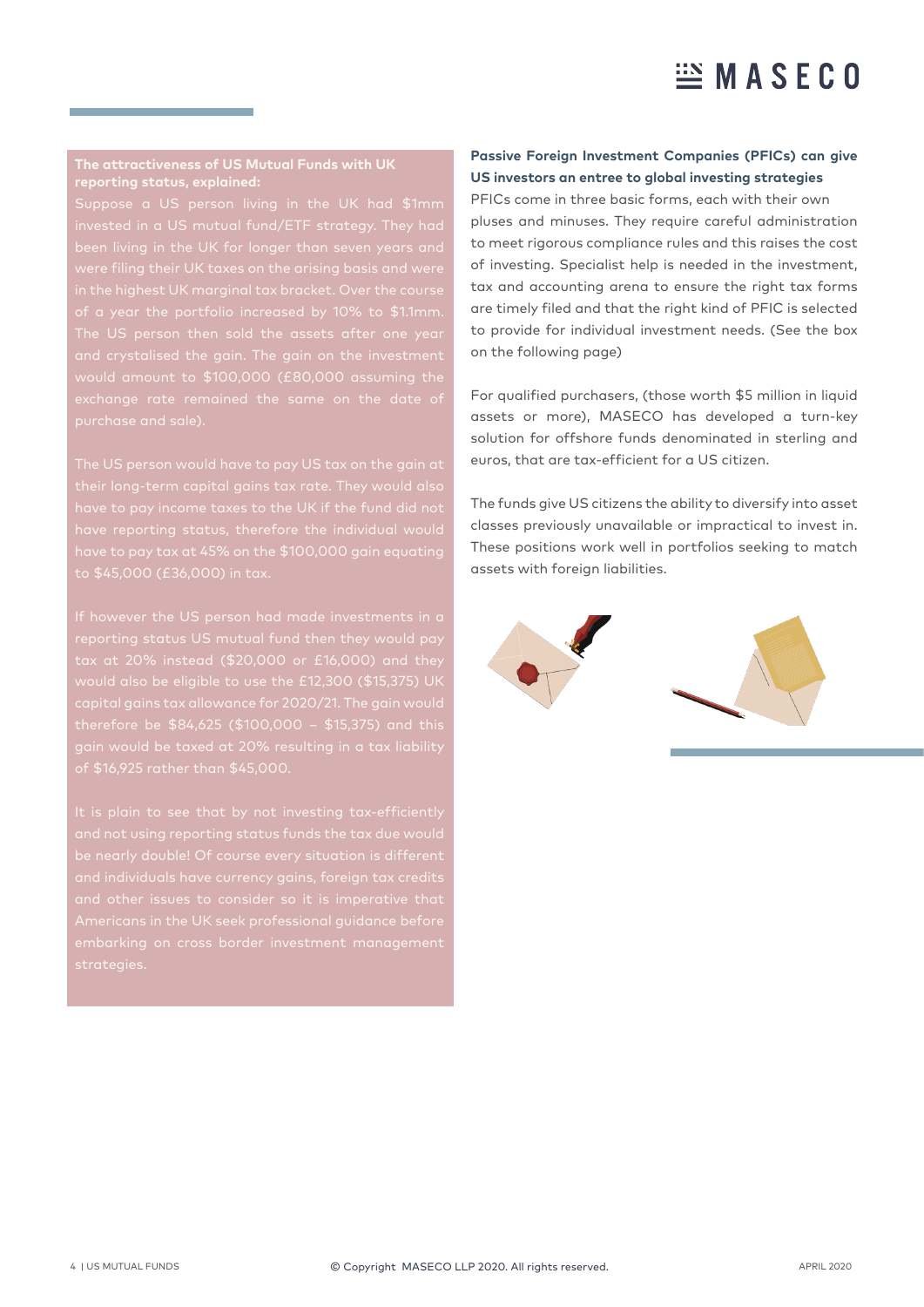# $\mathbb{E}$  MASECO

#### **The attractiveness of US Mutual Funds with UK reporting status, explained:**

were filing their UK taxes on the arising basis and were The US person then sold the assets after one year and crystalised the gain. The gain on the investment purchase and sale).

have to pay income taxes to the UK if the fund did not have reporting status, therefore the individual would to \$45,000 (£36,000) in tax.

tax at 20% instead (\$20,000 or £16,000) and they capital gains tax allowance for 2020/21. The gain would of \$16,925 rather than \$45,000.

and not using reporting status funds the tax due would and individuals have currency gains, foreign tax credits

#### **Passive Foreign Investment Companies (PFICs) can give US investors an entree to global investing strategies**

PFICs come in three basic forms, each with their own pluses and minuses. They require careful administration to meet rigorous compliance rules and this raises the cost of investing. Specialist help is needed in the investment, tax and accounting arena to ensure the right tax forms are timely filed and that the right kind of PFIC is selected to provide for individual investment needs. (See the box on the following page)

For qualified purchasers, (those worth \$5 million in liquid assets or more), MASECO has developed a turn-key solution for offshore funds denominated in sterling and euros, that are tax-efficient for a US citizen.

The funds give US citizens the ability to diversify into asset classes previously unavailable or impractical to invest in. These positions work well in portfolios seeking to match assets with foreign liabilities.

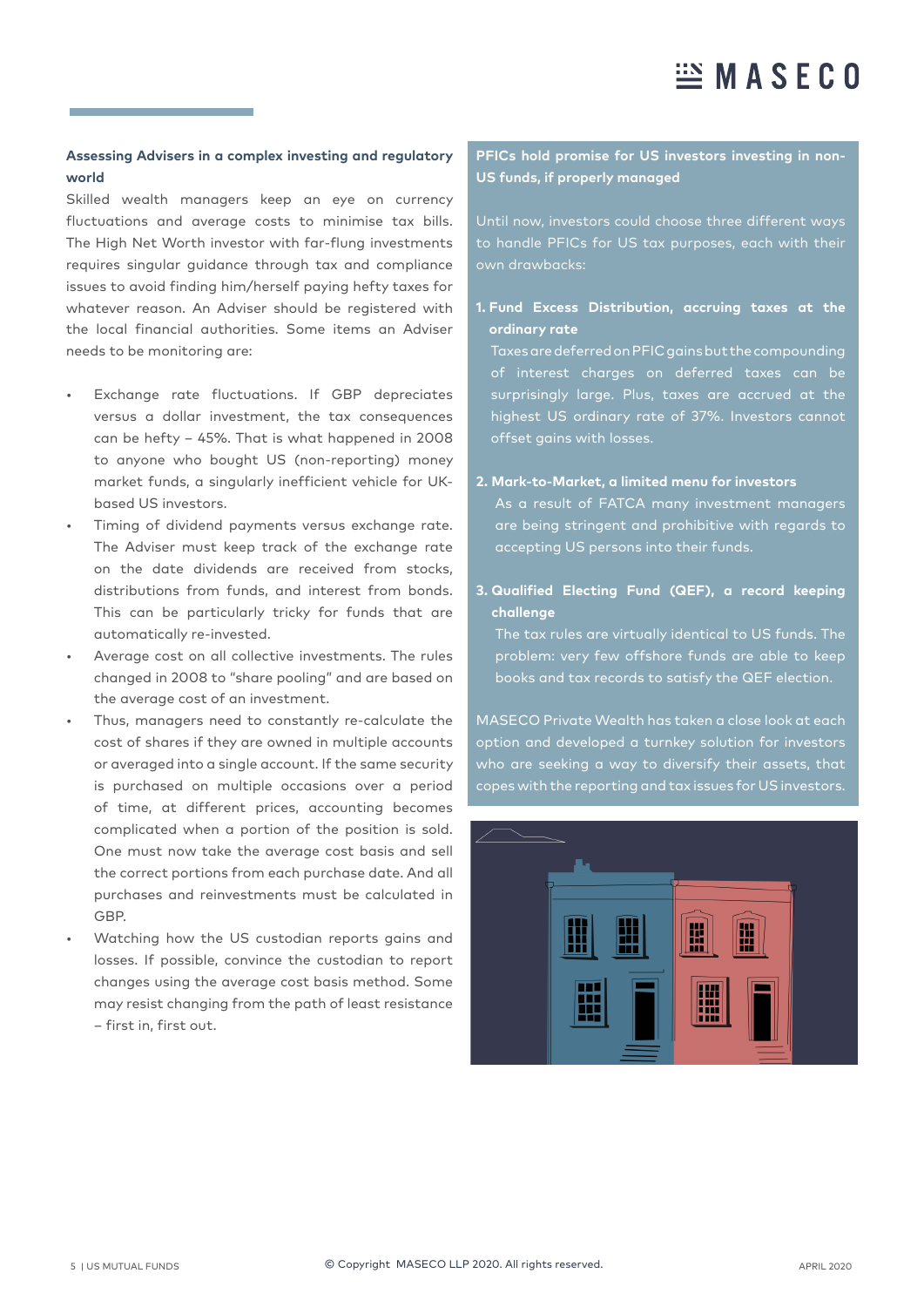### **Assessing Advisers in a complex investing and regulatory world**

Skilled wealth managers keep an eye on currency fluctuations and average costs to minimise tax bills. The High Net Worth investor with far-flung investments requires singular guidance through tax and compliance issues to avoid finding him/herself paying hefty taxes for whatever reason. An Adviser should be registered with the local financial authorities. Some items an Adviser needs to be monitoring are:

- Exchange rate fluctuations. If GBP depreciates versus a dollar investment, the tax consequences can be hefty – 45%. That is what happened in 2008 to anyone who bought US (non-reporting) money market funds, a singularly inefficient vehicle for UKbased US investors.
- Timing of dividend payments versus exchange rate. The Adviser must keep track of the exchange rate on the date dividends are received from stocks, distributions from funds, and interest from bonds. This can be particularly tricky for funds that are automatically re-invested.
- Average cost on all collective investments. The rules changed in 2008 to "share pooling" and are based on the average cost of an investment.
- Thus, managers need to constantly re-calculate the cost of shares if they are owned in multiple accounts or averaged into a single account. If the same security is purchased on multiple occasions over a period of time, at different prices, accounting becomes complicated when a portion of the position is sold. One must now take the average cost basis and sell the correct portions from each purchase date. And all purchases and reinvestments must be calculated in GBP.
- Watching how the US custodian reports gains and losses. If possible, convince the custodian to report changes using the average cost basis method. Some may resist changing from the path of least resistance – first in, first out.

## **PFICs hold promise for US investors investing in non-US funds, if properly managed**

Until now, investors could choose three different ways to handle PFICs for US tax purposes, each with their

### **1. Fund Excess Distribution, accruing taxes at the ordinary rate**

Taxes are deferred on PFIC gains but the compounding of interest charges on deferred taxes can be surprisingly large. Plus, taxes are accrued at the highest US ordinary rate of 37%. Investors cannot offset gains with losses.

### **2. Mark-to-Market, a limited menu for investors**

As a result of FATCA many investment managers are being stringent and prohibitive with regards to accepting US persons into their funds.

## **3. Qualified Electing Fund (QEF), a record keeping challenge**

problem: very few offshore funds are able to keep books and tax records to satisfy the QEF election.

MASECO Private Wealth has taken a close look at each option and developed a turnkey solution for investors who are seeking a way to diversify their assets, that copes with the reporting and tax issues for US investors.

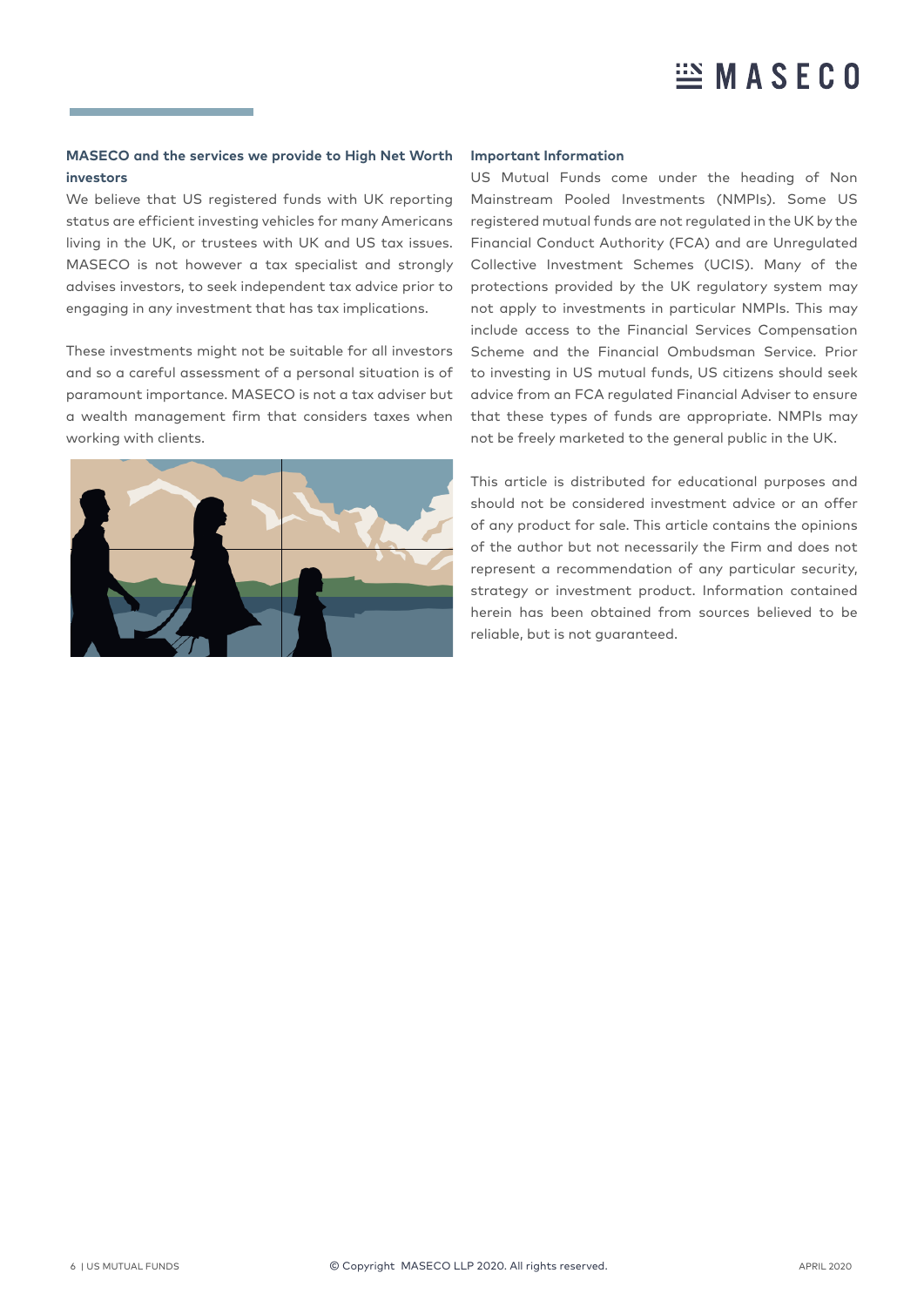# $\mathbb{E}$  MASECO

#### **MASECO and the services we provide to High Net Worth investors**

We believe that US registered funds with UK reporting status are efficient investing vehicles for many Americans living in the UK, or trustees with UK and US tax issues. MASECO is not however a tax specialist and strongly advises investors, to seek independent tax advice prior to engaging in any investment that has tax implications.

These investments might not be suitable for all investors and so a careful assessment of a personal situation is of paramount importance. MASECO is not a tax adviser but a wealth management firm that considers taxes when working with clients.



#### **Important Information**

US Mutual Funds come under the heading of Non Mainstream Pooled Investments (NMPIs). Some US registered mutual funds are not regulated in the UK by the Financial Conduct Authority (FCA) and are Unregulated Collective Investment Schemes (UCIS). Many of the protections provided by the UK regulatory system may not apply to investments in particular NMPIs. This may include access to the Financial Services Compensation Scheme and the Financial Ombudsman Service. Prior to investing in US mutual funds, US citizens should seek advice from an FCA regulated Financial Adviser to ensure that these types of funds are appropriate. NMPIs may not be freely marketed to the general public in the UK.

This article is distributed for educational purposes and should not be considered investment advice or an offer of any product for sale. This article contains the opinions of the author but not necessarily the Firm and does not represent a recommendation of any particular security, strategy or investment product. Information contained herein has been obtained from sources believed to be reliable, but is not guaranteed.